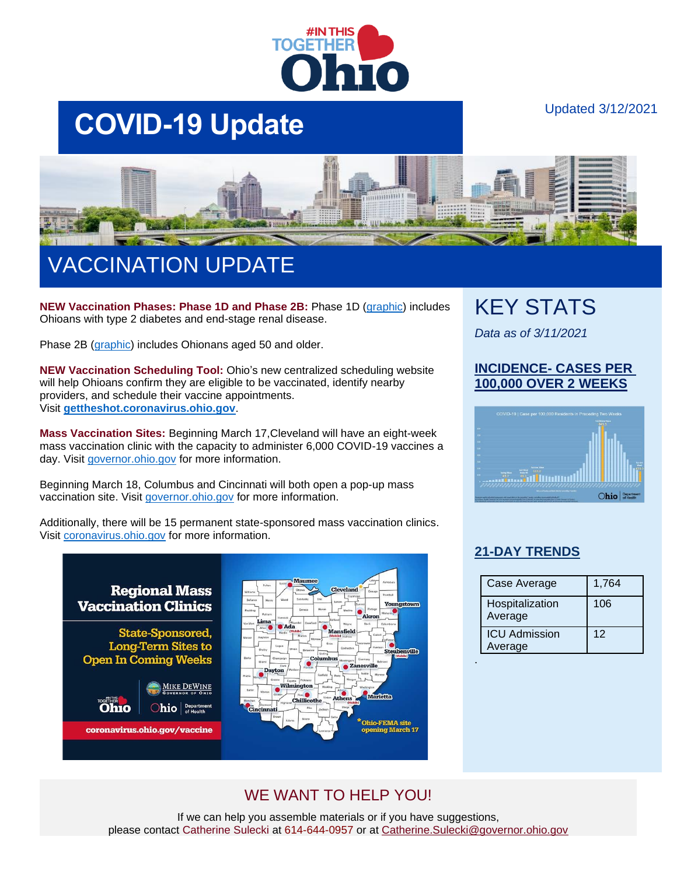

# **COVID-19 Update**

### Updated 3/12/2021



## VACCINATION UPDATE

**NEW Vaccination Phases: Phase 1D and Phase 2B:** Phase 1D [\(graphic\)](https://coronavirus.ohio.gov/static/vaccine/phase-1d-vaccination.jpg) includes Ohioans with type 2 diabetes and end-stage renal disease.

Phase 2B [\(graphic\)](https://coronavirus.ohio.gov/static/vaccine/phase-2b.jpg) includes Ohionans aged 50 and older.

**NEW Vaccination Scheduling Tool:** Ohio's new centralized scheduling website will help Ohioans confirm they are eligible to be vaccinated, identify nearby providers, and schedule their vaccine appointments. Visit **[gettheshot.coronavirus.ohio.gov](https://gettheshot.coronavirus.ohio.gov/)**.

**Mass Vaccination Sites:** Beginning March 17,Cleveland will have an eight-week mass vaccination clinic with the capacity to administer 6,000 COVID-19 vaccines a day. Visit [governor.ohio.gov](https://governor.ohio.gov/wps/portal/gov/governor/media/news-and-media/dewine-fema-announce-mass-vaccination-clinic-at-csu-wolstein-center-03052021) for more information.

Beginning March 18, Columbus and Cincinnati will both open a pop-up mass vaccination site. Visit [governor.ohio.gov](https://governor.ohio.gov/wps/portal/gov/governor/media/news-and-media/cincinnati-columbus-pop-up-mass-vaccination-sites-03102021) for more information.

Additionally, there will be 15 permanent state-sponsored mass vaccination clinics. Visit [coronavirus.ohio.gov](https://coronavirus.ohio.gov/wps/portal/gov/covid-19/covid-19-vaccination-program/resources/covid-19-mass-vaccination-clinics) for more information.



## KEY STATS

*Data as of 3/11/2021*

### **INCIDENCE- CASES PER 100,000 OVER 2 WEEKS**



### **[21-DAY TRENDS](https://coronavirus.ohio.gov/wps/portal/gov/covid-19/dashboards/current-trends)**

| Case Average               | 1,764 |
|----------------------------|-------|
| Hospitalization<br>Average | 106   |
| <b>ICU Admission</b>       | 12    |
| Average                    |       |
|                            |       |

## WE WANT TO HELP YOU!

If we can help you assemble materials or if you have suggestions, please contact Catherine Sulecki at 614-644-0957 or at [Catherine.Sulecki@governor.ohio.gov](mailto:Catherine.Sulecki@governor.ohio.gov)